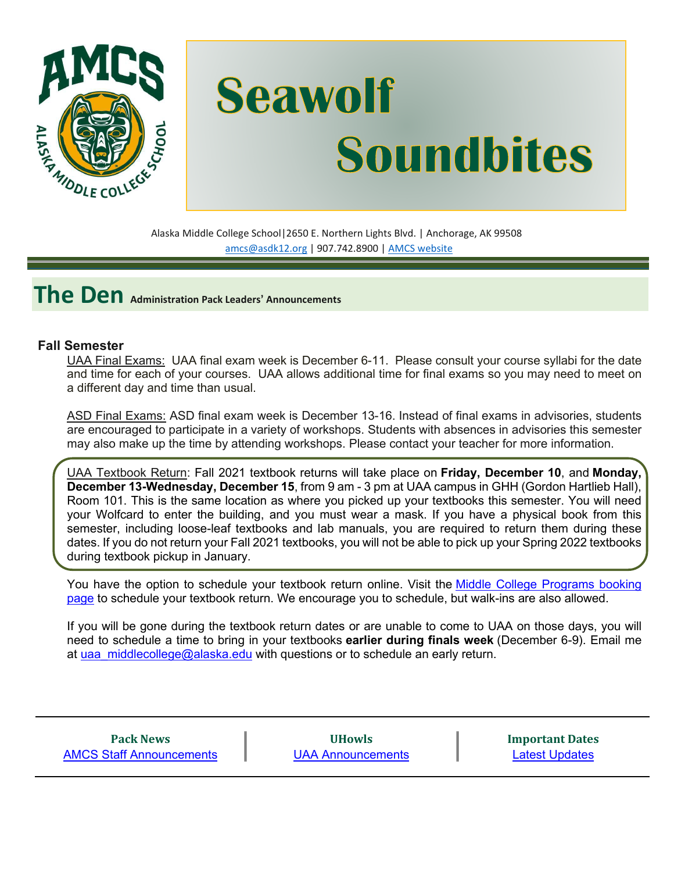

# **Seawolf Soundbites**

Alaska Middle College School|2650 E. Northern Lights Blvd. | Anchorage, AK 99508 [amcs@asdk12.org](mailto:amcs@asdk12.org) | 907.742.8900 | AMCS [website](https://www.asdk12.org/amcs)

**The Den Administration Pack Leaders' Announcements**

#### **Fall Semester**

UAA Final Exams: UAA final exam week is December 6-11. Please consult your course syllabi for the date and time for each of your courses. UAA allows additional time for final exams so you may need to meet on a different day and time than usual.

ASD Final Exams: ASD final exam week is December 13-16. Instead of final exams in advisories, students are encouraged to participate in a variety of workshops. Students with absences in advisories this semester may also make up the time by attending workshops. Please contact your teacher for more information.

UAA Textbook Return: Fall 2021 textbook returns will take place on **Friday, December 10**, and **Monday, December 13-Wednesday, December 15**, from 9 am - 3 pm at UAA campus in GHH (Gordon Hartlieb Hall), Room 101. This is the same location as where you picked up your textbooks this semester. You will need your Wolfcard to enter the building, and you must wear a mask. If you have a physical book from this semester, including loose-leaf textbooks and lab manuals, you are required to return them during these dates. If you do not return your Fall 2021 textbooks, you will not be able to pick up your Spring 2022 textbooks during textbook pickup in January.

You have the option to schedule your textbook return online. Visit the Middle College [Programs](https://nam12.safelinks.protection.outlook.com/?url=https%3A%2F%2Foutlook.office365.com%2Fowa%2Fcalendar%2FMiddleCollege1%40O365.alaska.edu%2Fbookings%2F&data=04%7C01%7Cgriffis_kimberly%40asdk12.org%7C30ceae44024a4159003c08d9b35bd9d1%7C036ce601e95a4e46a3bd6b742ed4bb35%7C0%7C0%7C637738029490304913%7CUnknown%7CTWFpbGZsb3d8eyJWIjoiMC4wLjAwMDAiLCJQIjoiV2luMzIiLCJBTiI6Ik1haWwiLCJXVCI6Mn0%3D%7C3000&sdata=v2axOL3z55%2F%2B5iLv0XbQHk%2FJL%2FaQbyspAErij3%2FGius%3D&reserved=0) booking [page](https://nam12.safelinks.protection.outlook.com/?url=https%3A%2F%2Foutlook.office365.com%2Fowa%2Fcalendar%2FMiddleCollege1%40O365.alaska.edu%2Fbookings%2F&data=04%7C01%7Cgriffis_kimberly%40asdk12.org%7C30ceae44024a4159003c08d9b35bd9d1%7C036ce601e95a4e46a3bd6b742ed4bb35%7C0%7C0%7C637738029490304913%7CUnknown%7CTWFpbGZsb3d8eyJWIjoiMC4wLjAwMDAiLCJQIjoiV2luMzIiLCJBTiI6Ik1haWwiLCJXVCI6Mn0%3D%7C3000&sdata=v2axOL3z55%2F%2B5iLv0XbQHk%2FJL%2FaQbyspAErij3%2FGius%3D&reserved=0) to schedule your textbook return. We encourage you to schedule, but walk-ins are also allowed.

If you will be gone during the textbook return dates or are unable to come to UAA on those days, you will need to schedule a time to bring in your textbooks **earlier during finals week** (December 6-9). Email me at [uaa\\_middlecollege@alaska.edu](mailto:uaa_middlecollege@alaska.edu) with questions or to schedule an early return.

| <b>Pack News</b>                |
|---------------------------------|
| <b>AMCS Staff Announcements</b> |

**UHowls** [UAA Announcements](#page-5-0) **Important Dates** [Latest Updates](#page-5-1)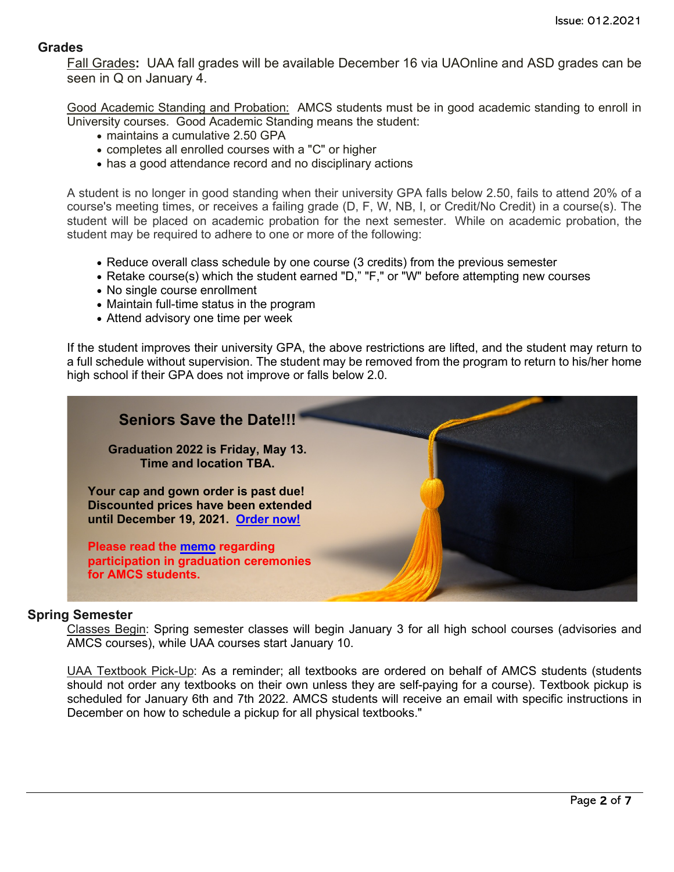#### **Grades**

Fall Grades**:** UAA fall grades will be available December 16 via UAOnline and ASD grades can be seen in Q on January 4.

Good Academic Standing and Probation: AMCS students must be in good academic standing to enroll in University courses. Good Academic Standing means the student:

- maintains a cumulative 2.50 GPA
- completes all enrolled courses with a "C" or higher
- has a good attendance record and no disciplinary actions

A student is no longer in good standing when their university GPA falls below 2.50, fails to attend 20% of a course's meeting times, or receives a failing grade (D, F, W, NB, I, or Credit/No Credit) in a course(s). The student will be placed on academic probation for the next semester. While on academic probation, the student may be required to adhere to one or more of the following:

- Reduce overall class schedule by one course (3 credits) from the previous semester
- Retake course(s) which the student earned "D," "F," or "W" before attempting new courses
- No single course enrollment
- Maintain full-time status in the program
- Attend advisory one time per week

If the student improves their university GPA, the above restrictions are lifted, and the student may return to a full schedule without supervision. The student may be removed from the program to return to his/her home high school if their GPA does not improve or falls below 2.0.



#### **Spring Semester**

Classes Begin: Spring semester classes will begin January 3 for all high school courses (advisories and AMCS courses), while UAA courses start January 10.

UAA Textbook Pick-Up: As a reminder; all textbooks are ordered on behalf of AMCS students (students should not order any textbooks on their own unless they are self-paying for a course). Textbook pickup is scheduled for January 6th and 7th 2022. AMCS students will receive an email with specific instructions in December on how to schedule a pickup for all physical textbooks."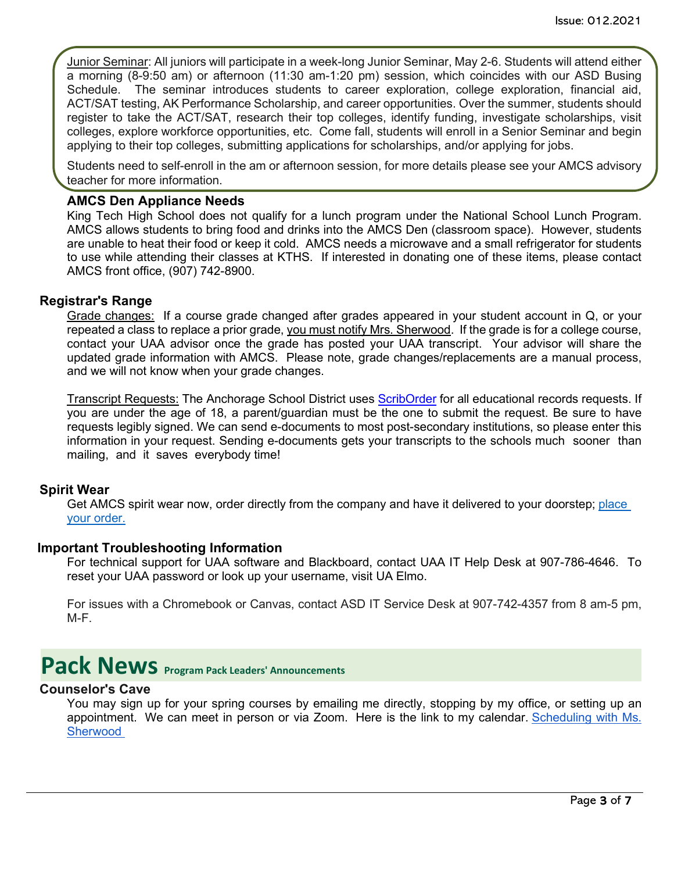Junior Seminar: All juniors will participate in a week-long Junior Seminar, May 2-6. Students will attend either a morning (8-9:50 am) or afternoon (11:30 am-1:20 pm) session, which coincides with our ASD Busing Schedule. The seminar introduces students to career exploration, college exploration, financial aid, ACT/SAT testing, AK Performance Scholarship, and career opportunities. Over the summer, students should register to take the ACT/SAT, research their top colleges, identify funding, investigate scholarships, visit colleges, explore workforce opportunities, etc. Come fall, students will enroll in a Senior Seminar and begin applying to their top colleges, submitting applications for scholarships, and/or applying for jobs.

Students need to self-enroll in the am or afternoon session, for more details please see your AMCS advisory teacher for more information.

#### **AMCS Den Appliance Needs**

King Tech High School does not qualify for a lunch program under the National School Lunch Program. AMCS allows students to bring food and drinks into the AMCS Den (classroom space). However, students are unable to heat their food or keep it cold. AMCS needs a microwave and a small refrigerator for students to use while attending their classes at KTHS. If interested in donating one of these items, please contact AMCS front office, (907) 742-8900.

#### **Registrar's Range**

Grade changes: If a course grade changed after grades appeared in your student account in Q, or your repeated a class to replace a prior grade, you must notify Mrs. Sherwood. If the grade is for a college course, contact your UAA advisor once the grade has posted your UAA transcript. Your advisor will share the updated grade information with AMCS. Please note, grade changes/replacements are a manual process, and we will not know when your grade changes.

Transcript Requests: The Anchorage School District uses [ScribOrder](https://anchorageak.scriborder.com/) for all educational records requests. If you are under the age of 18, a parent/guardian must be the one to submit the request. Be sure to have requests legibly signed. We can send e-documents to most post-secondary institutions, so please enter this information in your request. Sending e-documents gets your transcripts to the schools much sooner than mailing, and it saves everybody time!

#### **Spirit Wear**

Get AMCS spirit wear now, order directly from the company and have it delivered to your doorstep; [place](http://www.tntsportsalaska.com/alaska-middle-college-school) your [order.](http://www.tntsportsalaska.com/alaska-middle-college-school)

#### **Important Troubleshooting Information**

For technical support for UAA software and Blackboard, contact UAA IT Help Desk at 907-786-4646. To reset your UAA password or look up your username, visit [UA Elmo.](https://elmo.alaska.edu/) 

For issues with a Chromebook or Canvas, contact ASD IT Service Desk at 907-742-4357 from 8 am-5 pm, M-F.

### <span id="page-2-0"></span>**Pack News** Program Pack Leaders' Announcements

#### **Counselor's Cave**

You may sign up for your spring courses by emailing me directly, stopping by my office, or setting up an appointment. We can meet in person or via Zoom. Here is the link to my calendar. [Scheduling](https://nam12.safelinks.protection.outlook.com/?url=https%3A%2F%2Fcalendly.com%2Famcs_counselor%2Fconsult-with-ms-sherwood&data=04%7C01%7CGriffis_Kimberly%40asdk12.org%7C53218557811942e9b3c108d9b4f4b13a%7C036ce601e95a4e46a3bd6b742ed4bb35%7C0%7C0%7C637739785313002806%7CUnknown%7CTWFpbGZsb3d8eyJWIjoiMC4wLjAwMDAiLCJQIjoiV2luMzIiLCJBTiI6Ik1haWwiLCJXVCI6Mn0%3D%7C3000&sdata=RLuYTx59DNAl9Z1%2BqAmFAZe1iGbZLxWLAbxYuTHpwsM%3D&reserved=0) with Ms. [Sherwood](https://nam12.safelinks.protection.outlook.com/?url=https%3A%2F%2Fcalendly.com%2Famcs_counselor%2Fconsult-with-ms-sherwood&data=04%7C01%7CGriffis_Kimberly%40asdk12.org%7C53218557811942e9b3c108d9b4f4b13a%7C036ce601e95a4e46a3bd6b742ed4bb35%7C0%7C0%7C637739785313002806%7CUnknown%7CTWFpbGZsb3d8eyJWIjoiMC4wLjAwMDAiLCJQIjoiV2luMzIiLCJBTiI6Ik1haWwiLCJXVCI6Mn0%3D%7C3000&sdata=RLuYTx59DNAl9Z1%2BqAmFAZe1iGbZLxWLAbxYuTHpwsM%3D&reserved=0)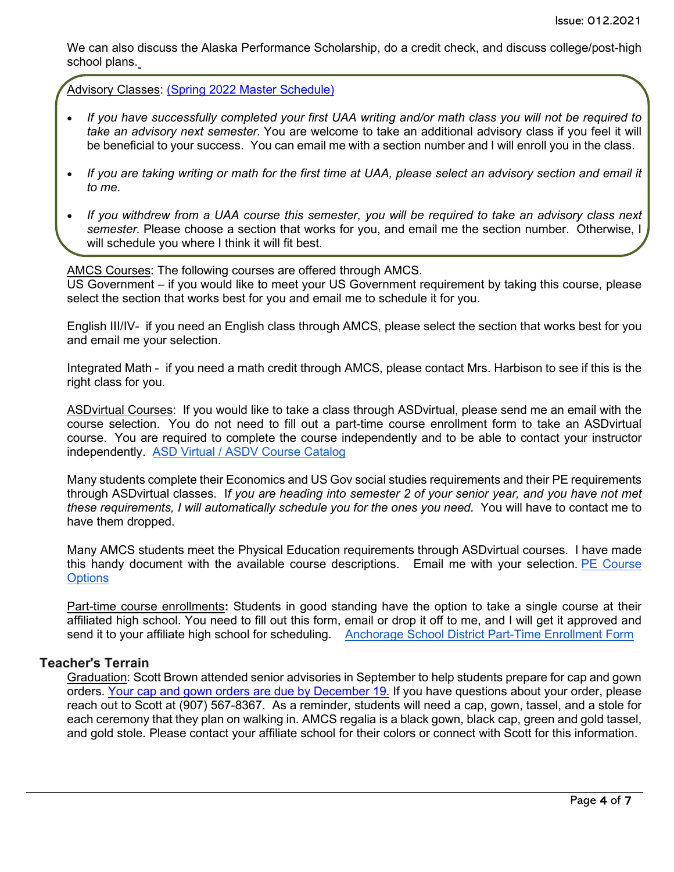We can also discuss the Alaska Performance Scholarship, do a credit check, and discuss college/post-high school plans.

Advisory Classes: (Spring 2022 Master [Schedule\)](https://www.asdk12.org/site/default.aspx?PageType=3&DomainID=1502&ModuleInstanceID=12315&ViewID=6446EE88-D30C-497E-9316-3F8874B3E108&RenderLoc=0&FlexDataID=63764&PageID=2506)

- If you have successfully completed your first UAA writing and/or math class you will not be required to *take an advisory next semester.* You are welcome to take an additional advisory class if you feel it will be beneficial to your success. You can email me with a section number and I will enroll you in the class.
- If you are taking writing or math for the first time at UAA, please select an advisory section and email it *to me.*
- If you withdrew from a UAA course this semester, you will be required to take an advisory class next *semester.* Please choose a section that works for you, and email me the section number. Otherwise, I will schedule you where I think it will fit best.

AMCS Courses: The following courses are offered through AMCS. US Government – if you would like to meet your US Government requirement by taking this course, please select the section that works best for you and email me to schedule it for you.

English III/IV- if you need an English class through AMCS, please select the section that works best for you and email me your selection.

Integrated Math - if you need a math credit through AMCS, please contact Mrs. Harbison to see if this is the right class for you.

ASDvirtual Courses: If you would like to take a class through ASDvirtual, please send me an email with the course selection. You do not need to fill out a part-time course enrollment form to take an ASDvirtual course. You are required to complete the course independently and to be able to contact your instructor independently. ASD Virtual / ASDV Course [Catalog](https://nam12.safelinks.protection.outlook.com/?url=https%3A%2F%2Fwww.asdk12.org%2FPage%2F18638&data=04%7C01%7CGriffis_Kimberly%40asdk12.org%7C53218557811942e9b3c108d9b4f4b13a%7C036ce601e95a4e46a3bd6b742ed4bb35%7C0%7C0%7C637739785313002806%7CUnknown%7CTWFpbGZsb3d8eyJWIjoiMC4wLjAwMDAiLCJQIjoiV2luMzIiLCJBTiI6Ik1haWwiLCJXVCI6Mn0%3D%7C3000&sdata=m4hTh%2FgIjdjm2ybE21XISmgUAZelJlrRPD24Krsj06Q%3D&reserved=0)

Many students complete their Economics and US Gov social studies requirements and their PE requirements through ASDvirtual classes. I*f you are heading into semester 2 of your senior year, and you have not met these requirements, I will automatically schedule you for the ones you need.* You will have to contact me to have them dropped.

Many AMCS students meet the Physical Education requirements through ASDvirtual courses. I have made this handy document with the available course descriptions. Email me with your selection. PE [Course](https://nam12.safelinks.protection.outlook.com/?url=https%3A%2F%2Fdocs.google.com%2Fdocument%2Fd%2F1VMGQ5RawnUTss_QzunkuLRgRgbbkhWqhSUoSGlxnc_E%2Fedit%3Fusp%3Dsharing&data=04%7C01%7CGriffis_Kimberly%40asdk12.org%7C53218557811942e9b3c108d9b4f4b13a%7C036ce601e95a4e46a3bd6b742ed4bb35%7C0%7C0%7C637739785313012802%7CUnknown%7CTWFpbGZsb3d8eyJWIjoiMC4wLjAwMDAiLCJQIjoiV2luMzIiLCJBTiI6Ik1haWwiLCJXVCI6Mn0%3D%7C3000&sdata=Fn1X%2FrX3sazrMosIO6XP5xQoMzSfCE%2BWIv%2F5j%2FqrXg8%3D&reserved=0) **[Options](https://nam12.safelinks.protection.outlook.com/?url=https%3A%2F%2Fdocs.google.com%2Fdocument%2Fd%2F1VMGQ5RawnUTss_QzunkuLRgRgbbkhWqhSUoSGlxnc_E%2Fedit%3Fusp%3Dsharing&data=04%7C01%7CGriffis_Kimberly%40asdk12.org%7C53218557811942e9b3c108d9b4f4b13a%7C036ce601e95a4e46a3bd6b742ed4bb35%7C0%7C0%7C637739785313012802%7CUnknown%7CTWFpbGZsb3d8eyJWIjoiMC4wLjAwMDAiLCJQIjoiV2luMzIiLCJBTiI6Ik1haWwiLCJXVCI6Mn0%3D%7C3000&sdata=Fn1X%2FrX3sazrMosIO6XP5xQoMzSfCE%2BWIv%2F5j%2FqrXg8%3D&reserved=0)** 

Part-time course enrollments**:** Students in good standing have the option to take a single course at their affiliated high school. You need to fill out this form, email or drop it off to me, and I will get it approved and send it to your affiliate high school for scheduling. [Anchorage](https://nam12.safelinks.protection.outlook.com/?url=https%3A%2F%2Fwww.asdk12.org%2Fcms%2Flib%2FAK02207157%2FCentricity%2FDomain%2F5532%2FPart-Time-Enrollment-Form_Fillable%25202022.pdf&data=04%7C01%7CGriffis_Kimberly%40asdk12.org%7C53218557811942e9b3c108d9b4f4b13a%7C036ce601e95a4e46a3bd6b742ed4bb35%7C0%7C0%7C637739785313022792%7CUnknown%7CTWFpbGZsb3d8eyJWIjoiMC4wLjAwMDAiLCJQIjoiV2luMzIiLCJBTiI6Ik1haWwiLCJXVCI6Mn0%3D%7C3000&sdata=zdhbfHZQhMwgrGVGCuwOaeLMV4yEXt0g4vuiEaupF4g%3D&reserved=0) School District Part-Time Enrollment Form

### **Teacher's Terrain**

Graduation: Scott Brown attended senior advisories in September to help students prepare for cap and gown orders. [Your cap and gown orders are due by December 19.](https://www.jostens.com/) If you have questions about your order, please reach out to Scott at (907) 567-8367. As a reminder, students will need a cap, gown, tassel, and a stole for each ceremony that they plan on walking in. AMCS regalia is a black gown, black cap, green and gold tassel, and gold stole. Please contact your affiliate school for their colors or connect with Scott for this information.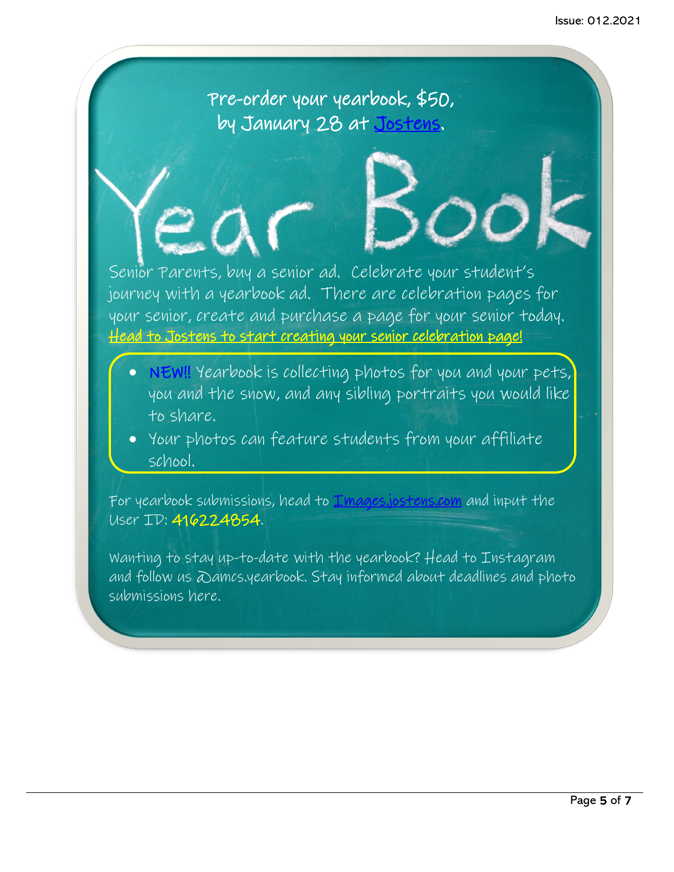Pre-order your yearbook, \$50, by January 28 at [Jostens.](https://www.jostens.com/)

Senior Parents, buy a senior ad. Celebrate your student's journey with a yearbook ad. There are celebration pages for your senior, create and purchase a page for your senior today. [Head to Jostens to start creating your senior celebration page!](https://www.jostens.com/yearbooks/students-and-parents/yearbook-ads) 

- NEW!! Yearbook is collecting photos for you and your pets, you and the snow, and any sibling portraits you would like to share.
- Your photos can feature students from your affiliate school.

For yearbook submissions, head to *[Images.jostens.com](https://images.jostens.com/)* and input the User ID: 416224854.

Wanting to stay up-to-date with the yearbook? Head to Instagram and follow us @amcs.yearbook. Stay informed about deadlines and photo submissions here.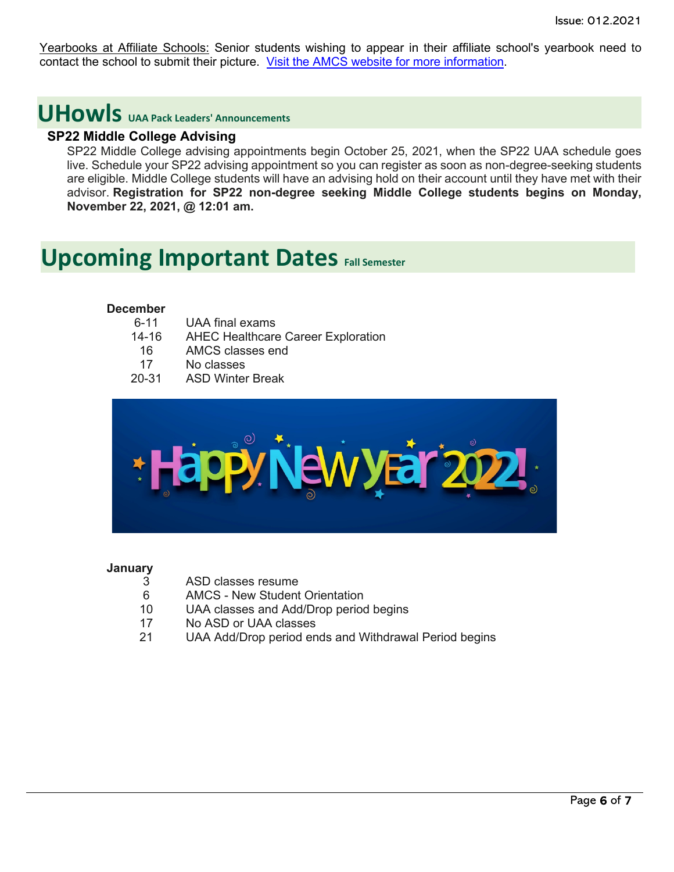Yearbooks at Affiliate Schools: Senior students wishing to appear in their affiliate school's yearbook need to contact the school to submit their picture. [Visit the AMCS website for more information.](https://www.asdk12.org/Page/18701)

### <span id="page-5-0"></span>**UHowls UAA Pack Leaders' Announcements**

#### **SP22 Middle College Advising**

SP22 Middle College advising appointments begin October 25, 2021, when the SP22 UAA schedule goes live. Schedule your SP22 advising appointment so you can register as soon as non-degree-seeking students are eligible. Middle College students will have an advising hold on their account until they have met with their advisor. **Registration for SP22 non-degree seeking Middle College students begins on Monday, November 22, 2021, @ 12:01 am.**

### <span id="page-5-1"></span>**Upcoming Important Dates Fall Semester**

#### **December**

| UAA final exams                           |
|-------------------------------------------|
| <b>AHEC Healthcare Career Exploration</b> |
| AMCS classes end                          |
| No classes                                |
| <b>ASD Winter Break</b>                   |
|                                           |



#### **January**

- 3 ASD classes resume
- 6 AMCS New Student Orientation<br>10 UAA classes and Add/Drop period
- UAA classes and Add/Drop period begins
- 17 No ASD or UAA classes
- 21 UAA Add/Drop period ends and Withdrawal Period begins